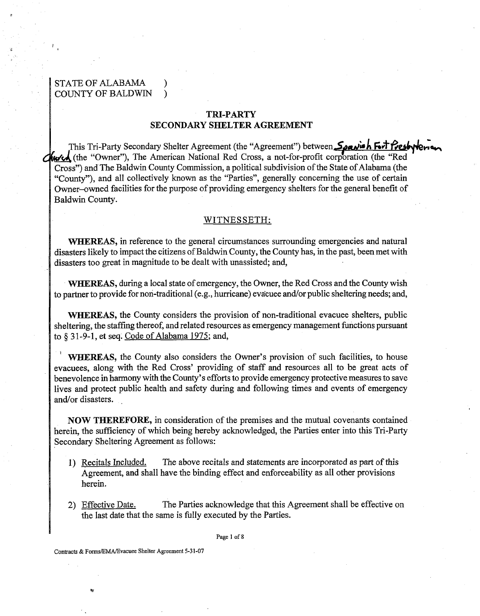# STATE OF ALABAMA COUNTY OF BALDWIN )

# **TRI-PARTY SECONDARY SHELTER AGREEMENT**

- This Tri-Party Secondary Shelter Agreement (the "Agreement") between Spavish Fort Presbyterson durch (the "Owner"), The American National Red Cross, a not-for-profit corporation (the "Red Cross") and The Baldwin County Commission, a political subdivision of the State of Alabama (the "County"), and all collectively known as the "Parties", generally concerning the use of certain Owner-owned facilities for the purpose of providing emergency shelters for the general benefit of Baldwin County.

#### WITNESSETH:

**WHEREAS,** in reference to the general circumstances surrounding emergencies and natural disasters likely to impact the citizens of Baldwin County, the County has, in the past, been met with disasters too great in magnitude to be dealt with unassisted; and,

**WHEREAS,** during a local state of emergency, the Owner, the Red Cross and the County wish to partner to provide for non-traditional (e.g., hurricane) evacuee and/or public sheltering needs; and,

**WHEREAS,** the County considers the provision of non-traditional evacuee shelters, public sheltering, the staffing thereof, and related resources as emergency management functions pursuant to *5* 3 1-9-1, et seq. Code of Alabama 1975; and,

**WHEREAS,** the County also considers the Owner's provision of such facilities, to house evacuees, along with the Red Cross' providing of staff and resources all to be great acts of benevolence in harmony with the County's efforts to provide emergency protective measures to save lives and protect public health and safety during and following times and events of emergency and/or disasters.

**NOW THEREFORE,** in consideration of the premises and the mutual covenants contained herein, the sufficiency of which being hereby acknowledged, the Parties enter into this Tri-Party Secondary Sheltering Agreement as follows:

- 1) Recitals Included. The above recitals and statements are incorporated as part of this Agreement, and shall have the binding effect and enforceability as all other provisions herein.
- 2) Effective Date. The Parties acknowledge that this Agreement shall be effective on the last date that the same is fully executed by the Parties.

Page 1 of 8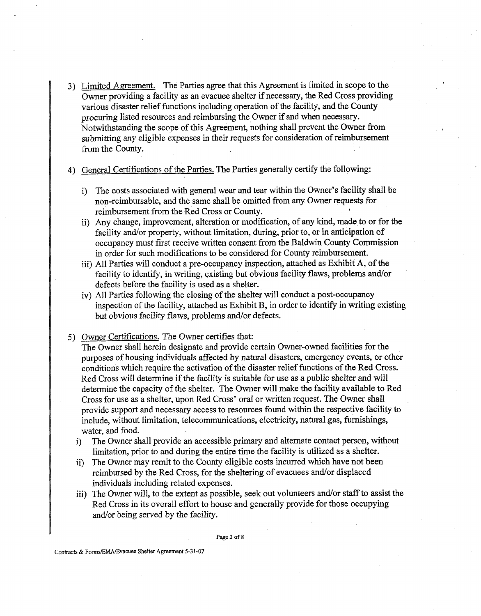**3)** Limited Aaeement. The Parties agree that this Agreement is limited in scope to the Owner providing a facility as an evacuee shelter if necessary, the Red Cross providing various disaster relief functions including operation of the facility, and the County procuring listed resources and reimbursing the Owner if and when necessary. Notwithstanding the scope of this Agreement, nothing shall prevent the Owner fiom submitting any eligible expenses in their requests for consideration of reimbursement fiom the County.

4) General Certifications of the Parties. The Parties generally certify the following:

- i) The costs associated with general wear and tear within the Owner's facility shall be non-reimbursable, and the same shall be omitted fiom any Owner requests for reimbursement from the Red Cross or County. **<sup>0</sup>**
- ii) Any change, improvement, alteration or modification, of any kind, made to or for the facility and/or property, without limitation, during, prior to, or in anticipation of occupancy must first receive written consent from the Baldwin County Commission in order for such modifications to be considered for County reimbursement.
- iii) All Parties will conduct a pre-occupancy inspection, attached as Exhibit **A,** of the facility to identify, in writing, existing but obvious facility flaws, problems and/or defects before the facility is used as a shelter.
- iv) All Parties following the closing of the shelter will conduct a post-occupancy inspection of the facility, attached as Exhibit B, in order to identify in writing existing but obvious facility flaws, problems and/or defects.
- 5) Owner Certifications. The Owner certifies that:

The Owner shall herein designate and provide certain Owner-owned facilities for the purposes of housing individuals affected by natural disasters, emergency events, or other conditions which require the activation of the disaster relief functions of the Red Cross. Red Cross will determine if the facility is suitable for use as a public shelter and will determine the capacity of the shelter. The Owner will make the facility available to Red Cross for use as a shelter, upon Red Cross' oral or written request. The Owner shall provide support and necessary access to resources found within the respective facility to include, without limitation, telecommunications, electricity, natural gas, furnishings, water, and food.

- i) The Owner shall provide an accessible primary and alternate contact person, without limitation, prior to and during the entire time the facility is utilized as a shelter.
- ii) The Owner may remit to the County eligible costs incurred which have not been reimbursed by the Red Cross, for the sheltering of evacuees and/or displaced individuals including related expenses.
- iii) The Owner will, to the extent as possible, seek out volunteers and/or staff to assist the Red Cross in its overall effort to house and generally provide for those occupying and/or being served by the facility.

Page **2** of 8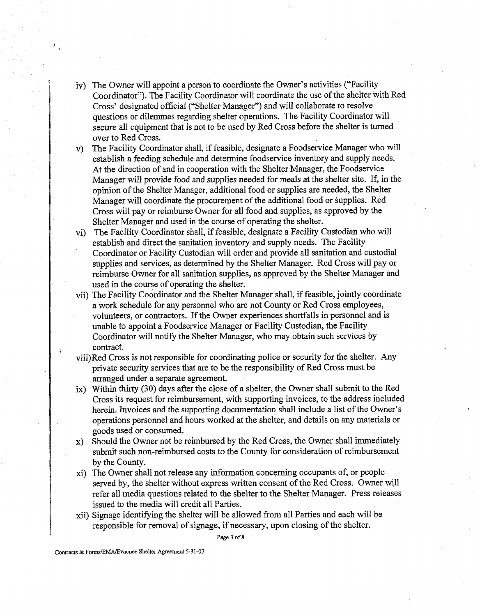- v) The Owner will appoint a person to coordinate the Owner's activities ("Facility Coordinator"). The Facility Coordinator will coordinate the use of the shelter with Red Cross' designated official ("Shelter Manager") and will collaborate to resolve questions or dilemmas regarding shelter operations. The Facility Coordinator will secure all equipment that is not to be used by Red Cross before the shelter is turned over to Red Cross.
- v) The Facility Coordinator shall, if feasible, designate a Foodservice Manager who will establish a feeding schedule and determine foodservice inventory and supply needs. At the direction of and in cooperation with the Shelter Manager, the Foodservice Manager will provide food and supplies needed for meals at the shelter site. If, in the opinion of the Shelter Manager, additional food or supplies are needed, the Shelter Manager will coordinate the procurement of the additional food or supplies. Red Cross will pay or reimburse Owner for all food and supplies, as approved by the Shelter Manager and used in the course of operating the shelter.
- vi) The Facility Coordinator shall, if feasible, designate a Facility Custodian who will establish and direct the sanitation inventory and supply needs. The Facility Coordinator or Facility Custodian will order and provide all sanitation and custodial supplies and services, as determined by the Shelter Manager. Red Cross will pay or reimburse Owner for all sanitation supplies, as approved by the Shelter Manager and used in the course of operating the shelter.
- vii) The Facility Coordinator and the Shelter Manager shall, if feasible, jointly coordinate a work schedule for any personnel who are not County or Red Cross employees, volunteers, or contractors. If the Owner experiences shortfalls in personnel and is unable to appoint a Foodservice Manager or Facility Custodian, the Facility Coordinator will notify the Shelter Manager, who may obtain such services by contract.
- viii)Red Cross is not responsible for coordinating police or security for the shelter. Any private security services that are to be the responsibility of Red Cross must be arranged under a separate agreement.
- ix) Within thirty (30) days after the close of a shelter, the Owner shall submit to the Red Cross its request for reimbursement, with supporting invoices, to the address included herein. Invoices and the supporting documentation shall include a list of the Owner's operations personnel and hours worked at the shelter, and details on any materials or goods used or consumed.
- x) Should the Owner not be reimbursed by the Red Cross, the Owner shall immediately submit such non-reimbursed costs to the County for consideration of reimbursement by the County.
- xi) The Owner shall not release any information concerning occupants of, or people served by, the shelter without express written consent of the Red Cross. Owner will refer all media questions related to the shelter to the Shelter Manager. Press releases issued to the media will credit all Parties.
- xii) Signage identifying the shelter will be allowed from all Parties and each will be responsible for removal of signage, if necessary, upon closing of the shelter.

Page **3** of 8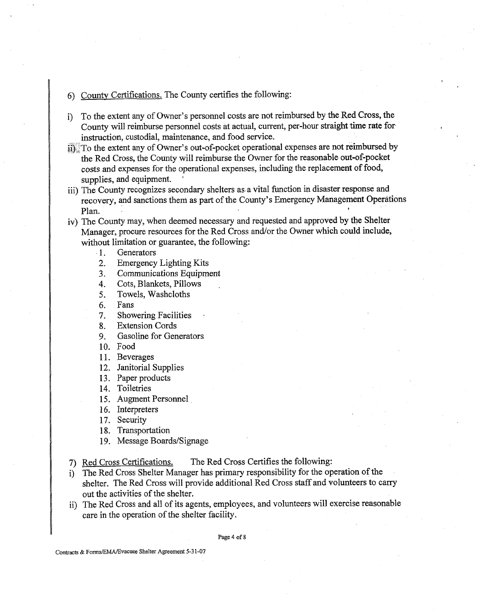### 6) Countv Certifications. The County certifies the following:

- i) To the extent any of Owner's personnel costs are not reimbursed by the Red Cross, the County will reimburse personnel costs at actual, current, per-hour straight time rate for instruction, custodial, maintenance, and food service.
- $ii$  To the extent any of Owner's out-of-pocket operational expenses are not reimbursed by the Red Cross, the County will reimburse the Owner for the reasonable out-of-pocket costs and expenses for the operational expenses, including the replacement of food, supplies, and equipment.
- iii) The County recognizes secondary shelters as a vital function in disaster response and recovery, and sanctions them as part of the County's Emergency Management Operations Plan.
- iv) The County may, when deemed necessary and requested and approved by the Shelter Manager, procure resources for the Red Cross and/or the Owner which could include, without limitation or guarantee, the following:
	- 1. Generators
	- 2. Emergency Lighting Kits
	- **3.** Communications Equipment
	- 4. Cots, Blankets, Pillows ,
	- 5. Towels, Washcloths
	- 6. Fans
	- 7. Showering Facilities
	- 8. Extension Cords
	- 9. Gasoline for Generators
	- 10. Food
	- 11. Beverages
	- 12. Janitorial Supplies
	- 13. Paper products
	- 14. Toiletries
	- 15. Augment Personnel
	- 16. Interpreters
	- 17. Security

18. Transportation

- 19. Message Boards/Signage
- 7) Red Cross Certifications. The Red Cross Certifies the following:
- i) The Red Cross Shelter Manager has primary responsibility for the operation of the shelter. The Red Cross will provide additional Red Cross staff and volunteers to carry out the activities of the shelter.
- ii) The Red Cross and all of its agents, employees, and volunteers will exercise reasonable care in the operation of the shelter facility.

Page 4 of **8**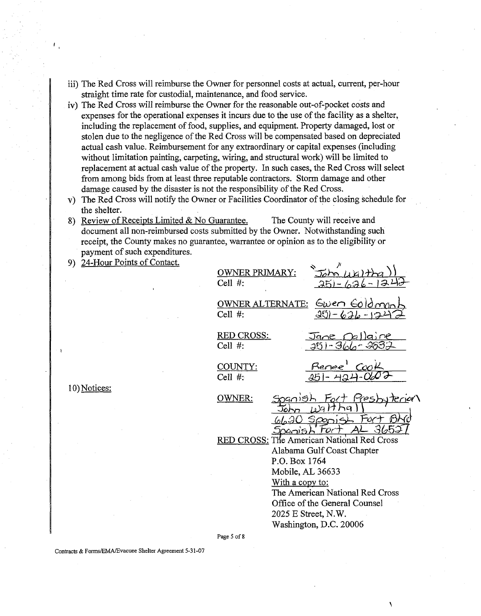- iii) The Red Cross will reimburse the Owner for personnel costs at actual, current, per-hour straight time rate for custodial, maintenance, and food service.
- iv) The Red Cross will reimburse the Owner for the reasonable out-of-pocket costs and expenses for the operational expenses it incurs due to the use of the facility as a shelter, including the replacement of food, supplies, and equipment. Property damaged, lost or stolen due to the negligence of the Red Cross will be compensated based on depreciated actual cash value. Reimbursement for any extraordinary or capital expenses (including without limitation painting, carpeting, wiring, and structural work) will be limited to replacement at actual cash value of the property. In such cases, the Red Cross will select from among bids from at least three reputable contractors. Storm damage and other damage caused by the disaster is not the responsibility of the Red Cross.
- v) The Red Cross will notify the Owner or Facilities Coordinator of the closing schedule for the shelter.
- 8) Review of Receipts Limited & No Guarantee. The County will receive and document all non-reimbursed costs submitted by the Owner. Notwithstanding such receipt, the County makes no guarantee, warrantee or opinion as to the eligibility or payment of such expenditures.
- 9) 24-Hour Points of Contact.

| <b>OWNER PRIMARY:</b><br>Cell $#$ :        |                                                                                              | $J_{\theta}$ m $\mu$ $K$ ) $\tau$<br>つらい                                              | 1.36                            |
|--------------------------------------------|----------------------------------------------------------------------------------------------|---------------------------------------------------------------------------------------|---------------------------------|
| <b>OWNER ALTERNATE:</b><br>$Cell$ #:       |                                                                                              | Gwen Goldn<br>6.36                                                                    |                                 |
| RED CROSS:<br>$Cell$ #:                    |                                                                                              | Jane [k]<br>25) - 366                                                                 |                                 |
| COUNTY:<br>Cell $#$ :                      |                                                                                              | <u>Renee<sup>1</sup> Coo</u><br>251-424-06                                            |                                 |
| OWNER:                                     |                                                                                              | œr                                                                                    | <u>Resby</u><br>Ù               |
| RED CROSS: The American National Red Cross | 204ന19<br>P.O. Box 1764<br>Mobile, AL 36633<br><u>With a copy to:</u><br>2025 E Street, N.W. | Alabama Gulf Coast Chapter<br>Office of the General Counsel<br>Washington, D.C. 20006 | The American National Red Cross |
|                                            |                                                                                              |                                                                                       |                                 |

10) Notices:

Page **5** of 8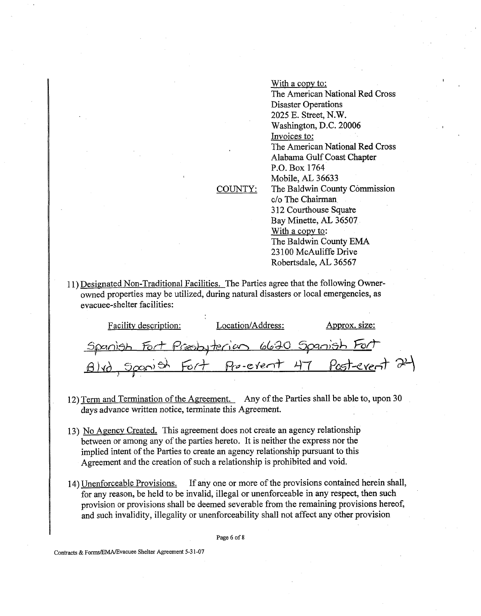With a copy to: The American National Red Cross Disaster Operations 2025 E. Street, N.W. Washington, D.C. 20006 Invoices to: The American National Red Cross Alabama Gulf Coast Chapter P.O. Box 1764 Mobile, **AL** 36633 The Baldwin County Commission C/O The Chairman 312 Courthouse Square Bay Minette, AL 36507 With a copy to: The Baldwin County **EMA**  23 100 McAuliffe Drive Robertsdale, AL 36567

# COUNTY:

11) Designated Non-Traditional Facilities. The Parties agree that the following Ownerowned properties may be utilized, during natural disasters or local emergencies, as evacuee-shelter facilities:

| Facility description:                       | Location/Address: | Approx. size:                                |
|---------------------------------------------|-------------------|----------------------------------------------|
| Spanish Fort Presbyterion 6630 Spanish Fort |                   |                                              |
|                                             |                   | Blvd Spanish Fort Pre-event 47 Past-event 24 |
|                                             |                   |                                              |

- 12) Term and Termination of the Agreement. Any of the Parties shall be able to, upon 30 days advance written notice, terminate this Agreement.
- 13) No Agency Created. This agreement does not create an agency relationship between or among any of the parties hereto. It is neither the express nor the implied intent of the Parties to create an agency relationship pursuant to this Agreement and the creation of such a relationship is prohibited and void.
- 14) Unenforceable Provisions. If any one or more of the provisions contained herein shall, for any reason, be held to be invalid, illegal or unenforceable in any respect, then such provision or provisions shall be deemed severable from the remaining provisions hereof, and such invalidity, illegality or unenforceability shall not affect any other provision

Page *6* of 8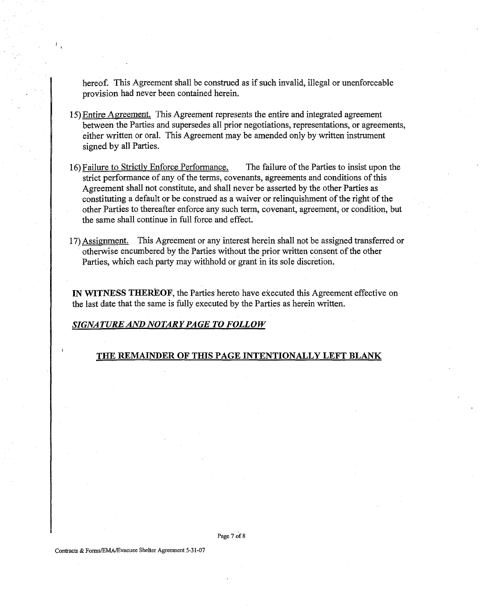hereof. This Agreement shall be construed as if such invalid, illegal or unenforceable provision had never been contained herein.

- 15) Entire Agreement. This Agreement represents the entire and integrated agreement between the Parties and supersedes all prior negotiations, representations, or agreements, either written or oral. This Agreement may be amended only by written instrument signed by all Parties.
- 16) Failure to Strictly Enforce Performance. The failure of the Parties to insist upon the strict performance of any of the terms, covenants, agreements and conditions of this Agreement shall not constitute, and shall never be asserted by the other Parties as constituting a default or be construed as a waiver or relinquishment of the right of the other Parties to thereafter enforce any such term, covenant, agreement, or condition, but the same shall continue in full force and effect.
- 17) Assignment. This Agreement or any interest herein shall not be assigned transferred or otherwise encumbered by the Parties without the prior written consent of the other Parties, which each party may withhold or grant in its sole discretion.

**IN WITNESS THEREOF, the Parties hereto have executed this Agreement effective on** the last date that the same is fully executed by the Parties as herein written.

#### *SIGNATURE AND NOTARY PAGE TO FOLLOW*

#### **THE REMAUVDER OF THIS PAGE INTENTIONALLY LEFT BLANK**

Page 7 of 8